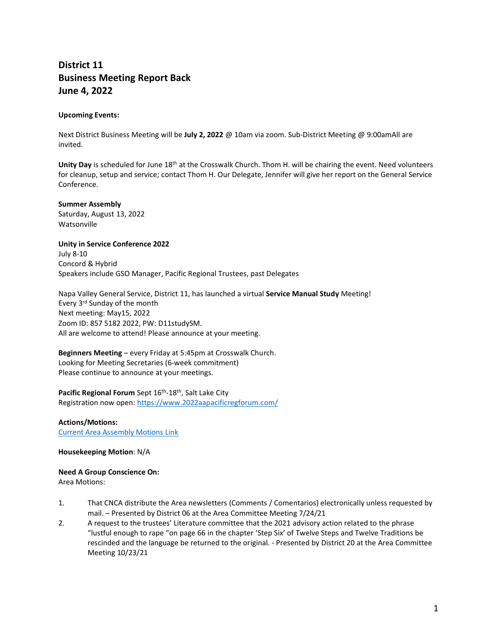# **District 11 Business Meeting Report Back June 4, 2022**

### **Upcoming Events:**

Next District Business Meeting will be **July 2, 2022** @ 10am via zoom. Sub-District Meeting @ 9:00amAll are invited.

**Unity Day** is scheduled for June 18th at the Crosswalk Church. Thom H. will be chairing the event. Need volunteers for cleanup, setup and service; contact Thom H. Our Delegate, Jennifer will give her report on the General Service Conference.

**Summer Assembly** Saturday, August 13, 2022 Watsonville

**Unity in Service Conference 2022** July 8-10 Concord & Hybrid Speakers include GSO Manager, Pacific Regional Trustees, past Delegates

Napa Valley General Service, District 11, has launched a virtual **Service Manual Study** Meeting! Every 3rd Sunday of the month Next meeting: May15, 2022 Zoom ID: 857 5182 2022, PW: D11studySM. All are welcome to attend! Please announce at your meeting.

**Beginners Meeting** – every Friday at 5:45pm at Crosswalk Church. Looking for Meeting Secretaries (6-week commitment) Please continue to announce at your meetings.

Pacific Regional Forum Sept 16<sup>th</sup>-18<sup>th</sup>, Salt Lake City Registration now open:<https://www.2022aapacificregforum.com/>

**Actions/Motions:** [Current Area Assembly Motions Link](/Users/jeffdickinson/Desktop/CNCA%20Web%20Comm/Items%20to%20Post%20CNCA/2022%20Posts%20CNCA/5.22%20Posts%20CNCA/2022_5_CNC%20Area%20Committee%20&%20Assembly%20Motions%20May%202022.pdf)

#### **Housekeeping Motion**: N/A

# **Need A Group Conscience On:**

Area Motions:

- 1. That CNCA distribute the Area newsletters (Comments / Comentarios) electronically unless requested by mail. – Presented by District 06 at the Area Committee Meeting 7/24/21
- 2. A request to the trustees' Literature committee that the 2021 advisory action related to the phrase "lustful enough to rape "on page 66 in the chapter 'Step Six' of Twelve Steps and Twelve Traditions be rescinded and the language be returned to the original. - Presented by District 20 at the Area Committee Meeting 10/23/21